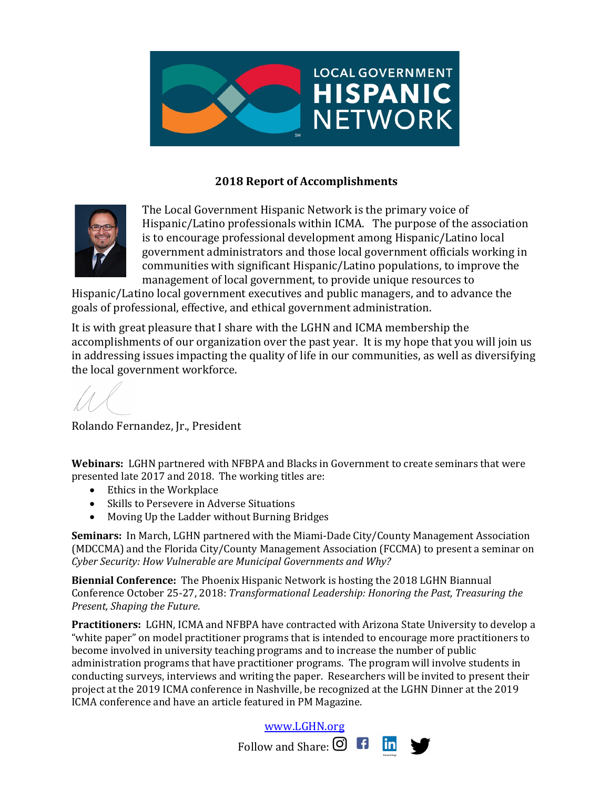

## **2018 Report of Accomplishments**



The Local Government Hispanic Network is the primary voice of Hispanic/Latino professionals within ICMA. The purpose of the association is to encourage professional development among Hispanic/Latino local government administrators and those local government officials working in communities with significant Hispanic/Latino populations, to improve the management of local government, to provide unique resources to

Hispanic/Latino local government executives and public managers, and to advance the goals of professional, effective, and ethical government administration.

It is with great pleasure that I share with the LGHN and ICMA membership the accomplishments of our organization over the past year. It is my hope that you will join us in addressing issues impacting the quality of life in our communities, as well as diversifying the local government workforce.

Rolando Fernandez, Jr., President

**Webinars:** LGHN partnered with NFBPA and Blacks in Government to create seminars that were presented late 2017 and 2018. The working titles are:

- $\bullet$  Ethics in the Workplace
- Skills to Persevere in Adverse Situations
- Moving Up the Ladder without Burning Bridges

**Seminars:** In March, LGHN partnered with the Miami-Dade City/County Management Association (MDCCMA) and the Florida City/County Management Association (FCCMA) to present a seminar on *Cyber Security: How Vulnerable are Municipal Governments and Why?*

**Biennial Conference:** The Phoenix Hispanic Network is hosting the 2018 LGHN Biannual Conference October 25-27, 2018: *Transformational Leadership: Honoring the Past, Treasuring the Present, Shaping the Future*. 

Practitioners: LGHN, ICMA and NFBPA have contracted with Arizona State University to develop a "white paper" on model practitioner programs that is intended to encourage more practitioners to become involved in university teaching programs and to increase the number of public administration programs that have practitioner programs. The program will involve students in conducting surveys, interviews and writing the paper. Researchers will be invited to present their project at the 2019 ICMA conference in Nashville, be recognized at the LGHN Dinner at the 2019 ICMA conference and have an article featured in PM Magazine.

www.LGHN.org



Follow and Share:  $\bigcirc$   $\bigcirc$